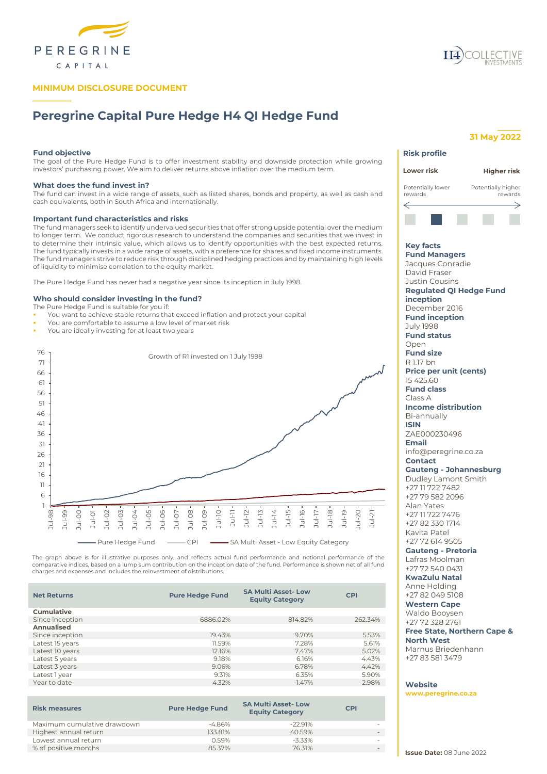

## **MINIMUM DISCLOSURE DOCUMENT**

# **Peregrine Capital Pure Hedge H4 QI Hedge Fund**

## **Fund objective**

**\_\_\_\_\_\_\_\_\_\_**

The goal of the Pure Hedge Fund is to offer investment stability and downside protection while growing investors' purchasing power. We aim to deliver returns above inflation over the medium term.

## **What does the fund invest in?**

The fund can invest in a wide range of assets, such as listed shares, bonds and property, as well as cash and cash equivalents, both in South Africa and internationally.

### **Important fund characteristics and risks**

The fund managers seek to identify undervalued securities that offer strong upside potential over the medium to longer term. We conduct rigorous research to understand the companies and securities that we invest in to determine their intrinsic value, which allows us to identify opportunities with the best expected returns. The fund typically invests in a wide range of assets, with a preference for shares and fixed income instruments. The fund managers strive to reduce risk through disciplined hedging practices and by maintaining high levels of liquidity to minimise correlation to the equity market.

The Pure Hedge Fund has never had a negative year since its inception in July 1998.

## **Who should consider investing in the fund?**

The Pure Hedge Fund is suitable for you if:

- You want to achieve stable returns that exceed inflation and protect your capital
- You are comfortable to assume a low level of market risk
- You are ideally investing for at least two years



The graph above is for illustrative purposes only, and reflects actual fund performance and notional performance of the comparative indices, based on a lump sum contribution on the inception date of the fund. Performance is shown net of all fund charges and expenses and includes the reinvestment of distributions.

| <b>Net Returns</b> | <b>Pure Hedge Fund</b> | <b>SA Multi Asset-Low</b><br><b>Equity Category</b> | <b>CPI</b> |
|--------------------|------------------------|-----------------------------------------------------|------------|
| Cumulative         |                        |                                                     |            |
| Since inception    | 6886.02%               | 814.82%                                             | 262.34%    |
| Annualised         |                        |                                                     |            |
| Since inception    | 19.43%                 | 9.70%                                               | 5.53%      |
| Latest 15 years    | 11.59%                 | 7.28%                                               | 5.61%      |
| Latest 10 years    | 12.16%                 | 7.47%                                               | 5.02%      |
| Latest 5 years     | 9.18%                  | 6.16%                                               | 4.43%      |
| Latest 3 years     | 9.06%                  | 6.78%                                               | 4.42%      |
| Latest 1 year      | 9.31%                  | 6.35%                                               | 5.90%      |
| Year to date       | 4.32%                  | $-1.47%$                                            | 2.98%      |
|                    |                        |                                                     |            |

| <b>Risk measures</b>        | <b>Pure Hedge Fund</b> | <b>SA Multi Asset-Low</b><br><b>Equity Category</b> | <b>CPI</b> |
|-----------------------------|------------------------|-----------------------------------------------------|------------|
| Maximum cumulative drawdown | -4.86%                 | $-22991%$                                           |            |
| Highest annual return       | 133.81%                | 40.59%                                              |            |
| Lowest annual return        | 0.59%                  | $-3.33\%$                                           |            |
| % of positive months        | 85.37%                 | 76.31%                                              |            |
|                             |                        |                                                     |            |

## **31 May 2022**

**\_\_\_\_\_\_**

| <b>Risk profile</b>                                                                                                                                                                                                                                                                                                                                                                                                                                                                                                                                                                                                                                                                                                                                                                                                                                                                                                                                                                        |                               |
|--------------------------------------------------------------------------------------------------------------------------------------------------------------------------------------------------------------------------------------------------------------------------------------------------------------------------------------------------------------------------------------------------------------------------------------------------------------------------------------------------------------------------------------------------------------------------------------------------------------------------------------------------------------------------------------------------------------------------------------------------------------------------------------------------------------------------------------------------------------------------------------------------------------------------------------------------------------------------------------------|-------------------------------|
| Lower risk                                                                                                                                                                                                                                                                                                                                                                                                                                                                                                                                                                                                                                                                                                                                                                                                                                                                                                                                                                                 | Higher risk                   |
| Potentially lower<br>rewards                                                                                                                                                                                                                                                                                                                                                                                                                                                                                                                                                                                                                                                                                                                                                                                                                                                                                                                                                               | Potentially higher<br>rewards |
|                                                                                                                                                                                                                                                                                                                                                                                                                                                                                                                                                                                                                                                                                                                                                                                                                                                                                                                                                                                            |                               |
|                                                                                                                                                                                                                                                                                                                                                                                                                                                                                                                                                                                                                                                                                                                                                                                                                                                                                                                                                                                            |                               |
| <b>Key facts</b><br><b>Fund Managers</b><br>Jacques Conradie<br>David Fraser<br><b>Justin Cousins</b><br><b>Regulated QI Hedge Fund</b><br>inception<br>December 2016<br><b>Fund inception</b><br><b>July 1998</b><br><b>Fund status</b><br>Open<br><b>Fund size</b><br>R 1.17 bn<br><b>Price per unit (cents)</b><br>15 425.60<br><b>Fund class</b><br>Class A<br><b>Income distribution</b><br>Bi-annually<br><b>ISIN</b><br>ZAE000230496<br><b>Email</b><br>info@peregrine.co.za<br><b>Contact</b><br><b>Gauteng - Johannesburg</b><br>Dudley Lamont Smith<br>+27 11 722 7482<br>+27 79 582 2096<br>Alan Yates<br>+27 11 722 7476<br>+27 82 330 1714<br>Kavita Patel<br>+27 72 614 9505<br><b>Gauteng - Pretoria</b><br>Lafras Moolman<br>+27 72 540 0431<br><b>KwaZulu Natal</b><br>Anne Holding<br>+27 82 049 5108<br><b>Western Cape</b><br>Waldo Booysen<br>+27 72 328 2761<br><b>Free State, Northern Cape &amp;</b><br><b>North West</b><br>Marnus Briedenhann<br>+27 83 581 3479 |                               |
| Website<br>www.peregrine.co.za                                                                                                                                                                                                                                                                                                                                                                                                                                                                                                                                                                                                                                                                                                                                                                                                                                                                                                                                                             |                               |

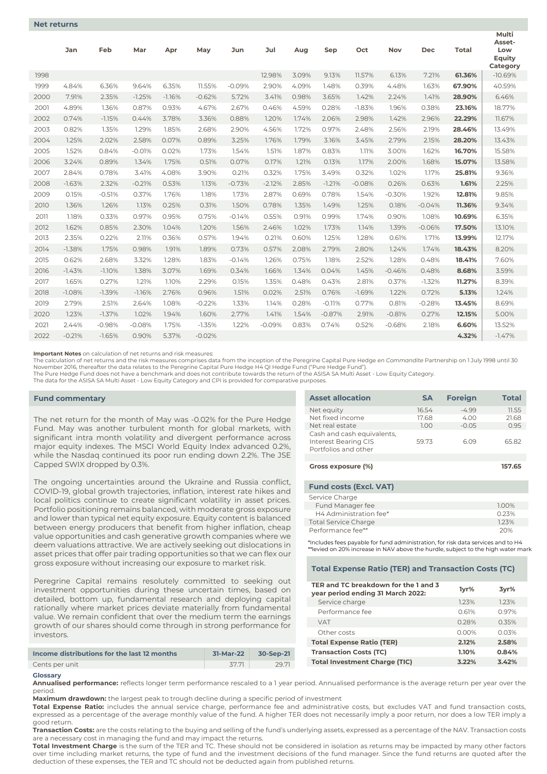|      | Jan      | Feb      | Mar      | Apr      | May      | Jun      | Jul      | Aug   | Sep      | Oct      | Nov      | <b>Dec</b> | <b>Total</b> | Multi<br>Asset-<br>Low<br>Equity<br>Category |
|------|----------|----------|----------|----------|----------|----------|----------|-------|----------|----------|----------|------------|--------------|----------------------------------------------|
| 1998 |          |          |          |          |          |          | 12.98%   | 3.09% | 9.13%    | 11.57%   | 6.13%    | 7.21%      | 61.36%       | $-10.69%$                                    |
| 1999 | 4.84%    | 6.36%    | 9.64%    | 6.35%    | 11.55%   | $-0.09%$ | 2.90%    | 4.09% | 1.48%    | 0.39%    | 4.48%    | 1.63%      | 67.90%       | 40.59%                                       |
| 2000 | 7.91%    | 2.35%    | $-1.25%$ | $-1.16%$ | $-0.62%$ | 5.72%    | 3.41%    | 0.98% | 3.65%    | 1.42%    | 2.24%    | 1.41%      | 28.90%       | 6.46%                                        |
| 2001 | 4.89%    | 1.36%    | 0.87%    | 0.93%    | 4.67%    | 2.67%    | 0.46%    | 4.59% | 0.28%    | $-1.83%$ | 1.96%    | 0.38%      | 23.16%       | 18.77%                                       |
| 2002 | 0.74%    | $-1.15%$ | 0.44%    | 3.78%    | 3.36%    | 0.88%    | 1.20%    | 1.74% | 2.06%    | 2.98%    | 1.42%    | 2.96%      | 22.29%       | 11.67%                                       |
| 2003 | 0.82%    | 1.35%    | 1.29%    | 1.85%    | 2.68%    | 2.90%    | 4.56%    | 1.72% | 0.97%    | 2.48%    | 2.56%    | 2.19%      | 28.46%       | 13.49%                                       |
| 2004 | 1.25%    | 2.02%    | 2.58%    | 0.07%    | 0.89%    | 3.25%    | 1.76%    | 1.79% | 3.16%    | 3.45%    | 2.79%    | 2.15%      | 28.20%       | 13.43%                                       |
| 2005 | 1.52%    | 0.84%    | $-0.01%$ | 0.02%    | 1.73%    | 1.54%    | 1.51%    | 1.87% | 0.83%    | 1.11%    | 3.00%    | 1.62%      | 16.70%       | 15.58%                                       |
| 2006 | 3.24%    | 0.89%    | 1.34%    | 1.75%    | 0.51%    | 0.07%    | 0.17%    | 1.21% | 0.13%    | 1.17%    | 2.00%    | 1.68%      | 15.07%       | 13.58%                                       |
| 2007 | 2.84%    | 0.78%    | 3.41%    | 4.08%    | 3.90%    | 0.21%    | 0.32%    | 1.75% | 3.49%    | 0.32%    | 1.02%    | 1.17%      | 25.81%       | 9.36%                                        |
| 2008 | $-1.63%$ | 2.32%    | $-0.21%$ | 0.53%    | 1.13%    | $-0.73%$ | $-2.12%$ | 2.85% | $-1.21%$ | $-0.08%$ | 0.26%    | 0.63%      | 1.61%        | 2.25%                                        |
| 2009 | 0.15%    | $-0.51%$ | 0.37%    | 1.76%    | 1.18%    | 1.73%    | 2.87%    | 0.69% | 0.78%    | 1.54%    | $-0.30%$ | 1.92%      | 12.81%       | 9.85%                                        |
| 2010 | 1.36%    | 1.26%    | 1.13%    | 0.25%    | 0.31%    | 1.50%    | 0.78%    | 1.35% | 1.49%    | 1.25%    | 0.18%    | $-0.04%$   | 11.36%       | 9.34%                                        |
| 2011 | 1.18%    | 0.33%    | 0.97%    | 0.95%    | 0.75%    | $-0.14%$ | 0.55%    | 0.91% | 0.99%    | 1.74%    | 0.90%    | 1.08%      | 10.69%       | 6.35%                                        |
| 2012 | 1.62%    | 0.85%    | 2.30%    | 1.04%    | 1.20%    | 1.56%    | 2.46%    | 1.02% | 1.73%    | 1.14%    | 1.39%    | $-0.06%$   | 17.50%       | 13.10%                                       |
| 2013 | 2.35%    | 0.22%    | 2.11%    | 0.36%    | 0.57%    | 1.94%    | 0.21%    | 0.60% | 1.25%    | 1.28%    | 0.61%    | 1.71%      | 13.99%       | 12.17%                                       |
| 2014 | $-1.38%$ | 1.75%    | 0.98%    | 1.91%    | 1.89%    | 0.73%    | 0.57%    | 2.08% | 2.79%    | 2.80%    | 1.24%    | 1.74%      | 18.43%       | 8.20%                                        |
| 2015 | 0.62%    | 2.68%    | 3.32%    | 1.28%    | 1.83%    | $-0.14%$ | 1.26%    | 0.75% | 1.18%    | 2.52%    | 1.28%    | 0.48%      | 18.41%       | 7.60%                                        |
| 2016 | $-1.43%$ | $-1.10%$ | 1.38%    | 3.07%    | 1.69%    | 0.34%    | 1.66%    | 1.34% | 0.04%    | 1.45%    | $-0.46%$ | 0.48%      | 8.68%        | 3.59%                                        |
| 2017 | 1.65%    | 0.27%    | 1.21%    | 1.10%    | 2.29%    | 0.15%    | 1.35%    | 0.48% | 0.43%    | 2.81%    | 0.37%    | $-1.32%$   | 11.27%       | 8.39%                                        |
| 2018 | $-1.08%$ | $-1.39%$ | $-1.16%$ | 2.76%    | 0.96%    | 1.51%    | 0.02%    | 2.51% | 0.76%    | $-1.69%$ | 1.22%    | 0.72%      | 5.13%        | 1.24%                                        |
| 2019 | 2.79%    | 2.51%    | 2.64%    | 1.08%    | $-0.22%$ | 1.33%    | 1.14%    | 0.28% | $-0.11%$ | 0.77%    | 0.81%    | $-0.28%$   | 13.45%       | 8.69%                                        |
| 2020 | 1.23%    | $-1.37%$ | 1.02%    | 1.94%    | 1.60%    | 2.77%    | 1.41%    | 1.54% | $-0.87%$ | 2.91%    | $-0.81%$ | 0.27%      | 12.15%       | 5.00%                                        |
| 2021 | 2.44%    | $-0.98%$ | $-0.08%$ | 1.75%    | $-1.35%$ | 1.22%    | $-0.09%$ | 0.83% | 0.74%    | 0.52%    | $-0.68%$ | 2.18%      | 6.60%        | 13.52%                                       |
| 2022 | $-0.21%$ | $-1.65%$ | 0.90%    | 5.37%    | $-0.02%$ |          |          |       |          |          |          |            | 4.32%        | $-1.47%$                                     |

**Important Notes** on calculation of net returns and risk measures:

The calculation of net returns and the risk measures comprises data from the inception of the Peregrine Capital Pure Hedge *en Commandite* Partnership on 1 July 1998 until 30 November 2016, thereafter the data relates to the Peregrine Capital Pure Hedge H4 QI Hedge Fund ("Pure Hedge Fund").<br>The Pure Hedge Fund does not have a benchmark and does not contribute towards the return of the ASISA SA

The data for the ASISA SA Multi Asset - Low Equity Category and CPI is provided for comparative purposes.

## **Fund commentary**

The net return for the month of May was -0.02% for the Pure Hedge Fund. May was another turbulent month for global markets, with significant intra month volatility and divergent performance across major equity indexes. The MSCI World Equity Index advanced 0.2%, while the Nasdaq continued its poor run ending down 2.2%. The JSE Capped SWIX dropped by 0.3%.

The ongoing uncertainties around the Ukraine and Russia conflict, COVID-19, global growth trajectories, inflation, interest rate hikes and local politics continue to create significant volatility in asset prices. Portfolio positioning remains balanced, with moderate gross exposure and lower than typical net equity exposure. Equity content is balanced between energy producers that benefit from higher inflation, cheap value opportunities and cash generative growth companies where we deem valuations attractive. We are actively seeking out dislocations in asset prices that offer pair trading opportunities so that we can flex our gross exposure without increasing our exposure to market risk.

Peregrine Capital remains resolutely committed to seeking out investment opportunities during these uncertain times, based on detailed, bottom up, fundamental research and deploying capital rationally where market prices deviate materially from fundamental value. We remain confident that over the medium term the earnings growth of our shares should come through in strong performance for investors.

| 31-Mar-22 | 30-Sep-21 | Transa   |  |
|-----------|-----------|----------|--|
|           |           |          |  |
|           | 29.71     | Total II |  |
|           |           |          |  |

#### **Glossary**

**Annualised performance:** reflects longer term performance rescaled to a 1 year period. Annualised performance is the average return per year over the period.

**Maximum drawdown:** the largest peak to trough decline during a specific period of investment

**Total Expense Ratio:** includes the annual service charge, performance fee and administrative costs, but excludes VAT and fund transaction costs, expressed as a percentage of the average monthly value of the fund. A higher TER does not necessarily imply a poor return, nor does a low TER imply a good return.

**Transaction Costs:** are the costs relating to the buying and selling of the fund's underlying assets, expressed as a percentage of the NAV. Transaction costs are a necessary cost in managing the fund and may impact the returns.

**Total Investment Charge** is the sum of the TER and TC. These should not be considered in isolation as returns may be impacted by many other factors over time including market returns, the type of fund and the investment decisions of the fund manager. Since the fund returns are quoted after the deduction of these expenses, the TER and TC should not be deducted again from published returns.

| Net equity                                                                 | 16.54 | $-4.99$ | 11.55  |
|----------------------------------------------------------------------------|-------|---------|--------|
| Net fixed income                                                           | 17.68 | 4.00    | 21.68  |
| Net real estate                                                            | 1.00  | $-0.05$ | 0.95   |
| Cash and cash equivalents,<br>Interest Bearing CIS<br>Portfolios and other | 59.73 | 6.09    | 65.82  |
|                                                                            |       |         |        |
| Gross exposure (%)                                                         |       |         | 157.65 |
| <b>Fund costs (Excl. VAT)</b>                                              |       |         |        |
| Service Charge                                                             |       |         |        |
| Fund Manager fee                                                           |       |         | 1.00%  |
| H4 Administration fee*                                                     |       |         | 0.23%  |
|                                                                            |       |         |        |

**Asset allocation SA Foreign Total**

\*Includes fees payable for fund administration, for risk data services and to H4 \*\*levied on 20% increase in NAV above the hurdle, subject to the high water mark

## **Total Expense Ratio (TER) and Transaction Costs (TC)**

Performance fee\*\* 20%

| TER and TC breakdown for the 1 and 3<br>year period ending 31 March 2022: | 1yr%     | 3vr%  |
|---------------------------------------------------------------------------|----------|-------|
| Service charge                                                            | 123%     | 123%  |
| Performance fee                                                           | 0.61%    | 0.97% |
| <b>VAT</b>                                                                | 0.28%    | 0.35% |
| Other costs                                                               | $0.00\%$ | 0.03% |
| <b>Total Expense Ratio (TER)</b>                                          | 2.12%    | 2.58% |
| <b>Transaction Costs (TC)</b>                                             | 1.10%    | 0.84% |
| <b>Total Investment Charge (TIC)</b>                                      | 3.22%    | 3.42% |